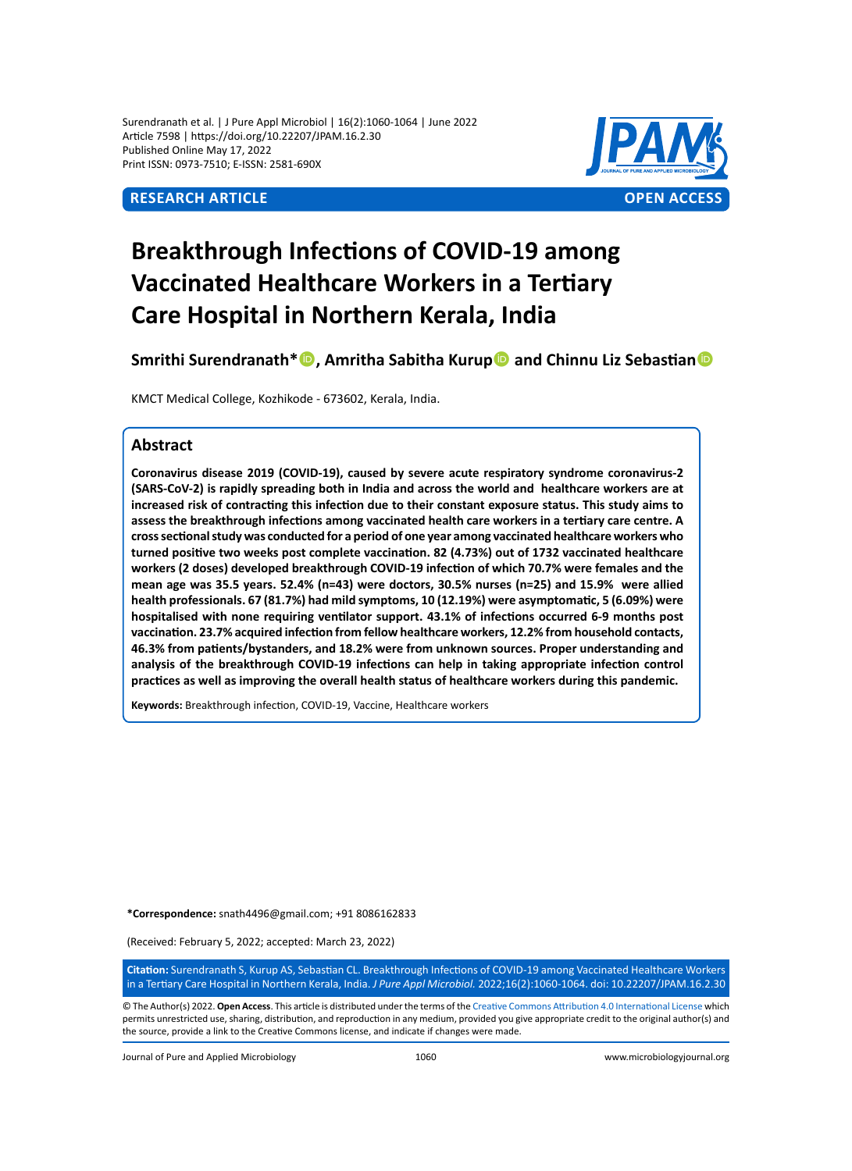Surendranath et al. | J Pure Appl Microbiol | 16(2):1060-1064 | June 2022 Article 7598 | https://doi.org/10.22207/JPAM.16.2.30 Published Online May 17, 2022 Print ISSN: 0973-7510; E-ISSN: 2581-690X



# **Breakthrough Infections of COVID-19 among Vaccinated Healthcare Workers in a Tertiary Care Hospital in Northern Kerala, India**

**Smrithi Surendranath\***<sup>1</sup>, Amritha Sabitha Kurup<sup>1</sup> and Chinnu Liz Sebastian<sup>1</sup>

KMCT Medical College, Kozhikode - 673602, Kerala, India.

# **Abstract**

**Coronavirus disease 2019 (COVID-19), caused by severe acute respiratory syndrome coronavirus-2 (SARS-CoV-2) is rapidly spreading both in India and across the world and healthcare workers are at increased risk of contracting this infection due to their constant exposure status. This study aims to assess the breakthrough infections among vaccinated health care workers in a tertiary care centre. A cross sectional study was conducted for a period of one year among vaccinated healthcare workers who turned positive two weeks post complete vaccination. 82 (4.73%) out of 1732 vaccinated healthcare workers (2 doses) developed breakthrough COVID-19 infection of which 70.7% were females and the mean age was 35.5 years. 52.4% (n=43) were doctors, 30.5% nurses (n=25) and 15.9% were allied health professionals. 67 (81.7%) had mild symptoms, 10 (12.19%) were asymptomatic, 5 (6.09%) were hospitalised with none requiring ventilator support. 43.1% of infections occurred 6-9 months post vaccination. 23.7% acquired infection from fellow healthcare workers, 12.2% from household contacts, 46.3% from patients/bystanders, and 18.2% were from unknown sources. Proper understanding and analysis of the breakthrough COVID-19 infections can help in taking appropriate infection control practices as well as improving the overall health status of healthcare workers during this pandemic.**

**Keywords:** Breakthrough infection, COVID-19, Vaccine, Healthcare workers

**\*Correspondence:** snath4496@gmail.com; +91 8086162833

(Received: February 5, 2022; accepted: March 23, 2022)

**Citation:** Surendranath S, Kurup AS, Sebastian CL. Breakthrough Infections of COVID-19 among Vaccinated Healthcare Workers in a Tertiary Care Hospital in Northern Kerala, India. *J Pure Appl Microbiol.* 2022;16(2):1060-1064. doi: 10.22207/JPAM.16.2.30

© The Author(s) 2022. **Open Access**. This article is distributed under the terms of the [Creative Commons Attribution 4.0 International License](https://creativecommons.org/licenses/by/4.0/) which permits unrestricted use, sharing, distribution, and reproduction in any medium, provided you give appropriate credit to the original author(s) and the source, provide a link to the Creative Commons license, and indicate if changes were made.

Journal of Pure and Applied Microbiology 1060 www.microbiologyjournal.org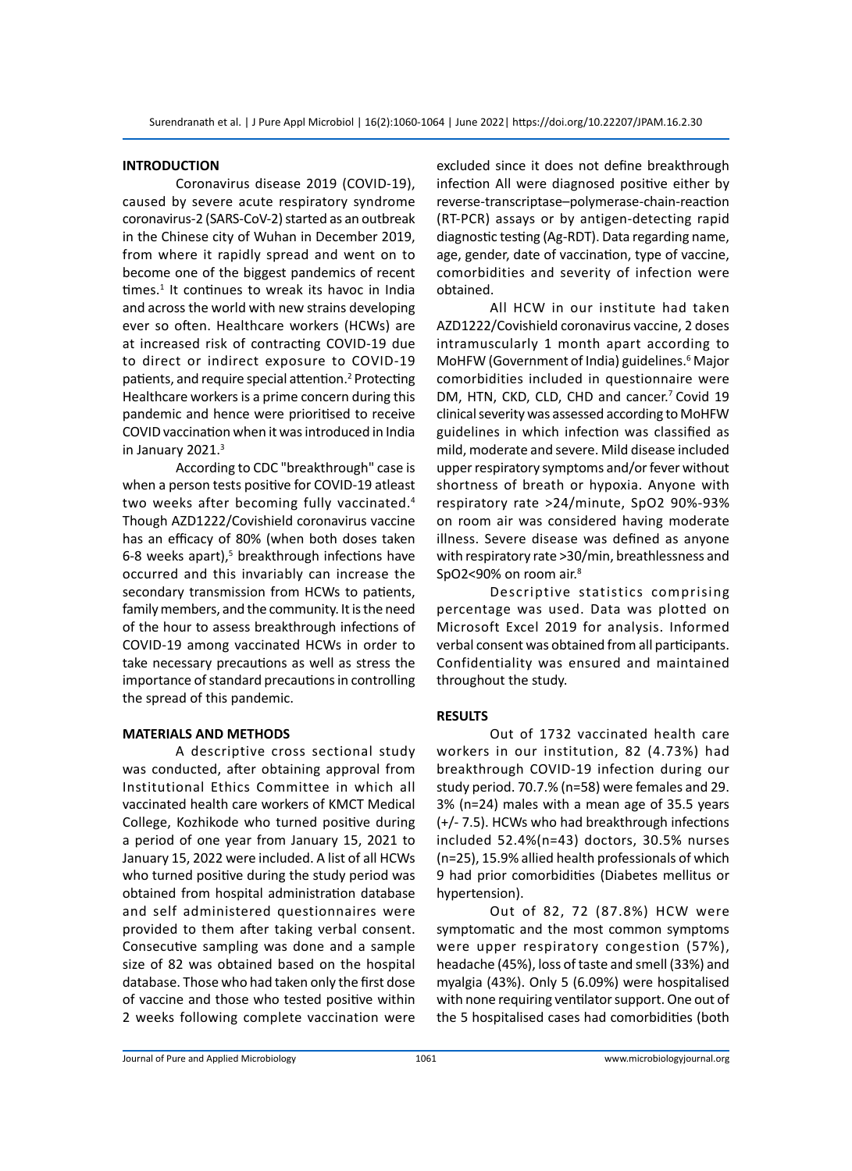# **INTRODUCTION**

Coronavirus disease 2019 (COVID-19), caused by severe acute respiratory syndrome coronavirus-2 (SARS-CoV-2) started as an outbreak in the Chinese city of Wuhan in December 2019, from where it rapidly spread and went on to become one of the biggest pandemics of recent times.<sup>1</sup> It continues to wreak its havoc in India and across the world with new strains developing ever so often. Healthcare workers (HCWs) are at increased risk of contracting COVID-19 due to direct or indirect exposure to COVID-19 patients, and require special attention.<sup>2</sup> Protecting Healthcare workers is a prime concern during this pandemic and hence were prioritised to receive COVID vaccination when it was introduced in India in January 2021.<sup>3</sup>

According to CDC "breakthrough" case is when a person tests positive for COVID-19 atleast two weeks after becoming fully vaccinated.<sup>4</sup> Though AZD1222/Covishield coronavirus vaccine has an efficacy of 80% (when both doses taken 6-8 weeks apart),<sup>5</sup> breakthrough infections have occurred and this invariably can increase the secondary transmission from HCWs to patients, family members, and the community. It is the need of the hour to assess breakthrough infections of COVID-19 among vaccinated HCWs in order to take necessary precautions as well as stress the importance of standard precautions in controlling the spread of this pandemic.

# **MATERIALS AND METHODS**

A descriptive cross sectional study was conducted, after obtaining approval from Institutional Ethics Committee in which all vaccinated health care workers of KMCT Medical College, Kozhikode who turned positive during a period of one year from January 15, 2021 to January 15, 2022 were included. A list of all HCWs who turned positive during the study period was obtained from hospital administration database and self administered questionnaires were provided to them after taking verbal consent. Consecutive sampling was done and a sample size of 82 was obtained based on the hospital database. Those who had taken only the first dose of vaccine and those who tested positive within 2 weeks following complete vaccination were excluded since it does not define breakthrough infection All were diagnosed positive either by reverse-transcriptase–polymerase-chain-reaction (RT-PCR) assays or by antigen-detecting rapid diagnostic testing (Ag-RDT). Data regarding name, age, gender, date of vaccination, type of vaccine, comorbidities and severity of infection were obtained.

All HCW in our institute had taken AZD1222/Covishield coronavirus vaccine, 2 doses intramuscularly 1 month apart according to MoHFW (Government of India) guidelines.<sup>6</sup> Major comorbidities included in questionnaire were DM, HTN, CKD, CLD, CHD and cancer.<sup>7</sup> Covid 19 clinical severity was assessed according to MoHFW guidelines in which infection was classified as mild, moderate and severe. Mild disease included upper respiratory symptoms and/or fever without shortness of breath or hypoxia. Anyone with respiratory rate >24/minute, SpO2 90%-93% on room air was considered having moderate illness. Severe disease was defined as anyone with respiratory rate >30/min, breathlessness and SpO2<90% on room air.<sup>8</sup>

Descriptive statistics comprising percentage was used. Data was plotted on Microsoft Excel 2019 for analysis. Informed verbal consent was obtained from all participants. Confidentiality was ensured and maintained throughout the study.

# **RESULTS**

Out of 1732 vaccinated health care workers in our institution, 82 (4.73%) had breakthrough COVID-19 infection during our study period. 70.7.% (n=58) were females and 29. 3% (n=24) males with a mean age of 35.5 years (+/- 7.5). HCWs who had breakthrough infections included 52.4%(n=43) doctors, 30.5% nurses (n=25), 15.9% allied health professionals of which 9 had prior comorbidities (Diabetes mellitus or hypertension).

Out of 82, 72 (87.8%) HCW were symptomatic and the most common symptoms were upper respiratory congestion (57%), headache (45%), loss of taste and smell (33%) and myalgia (43%). Only 5 (6.09%) were hospitalised with none requiring ventilator support. One out of the 5 hospitalised cases had comorbidities (both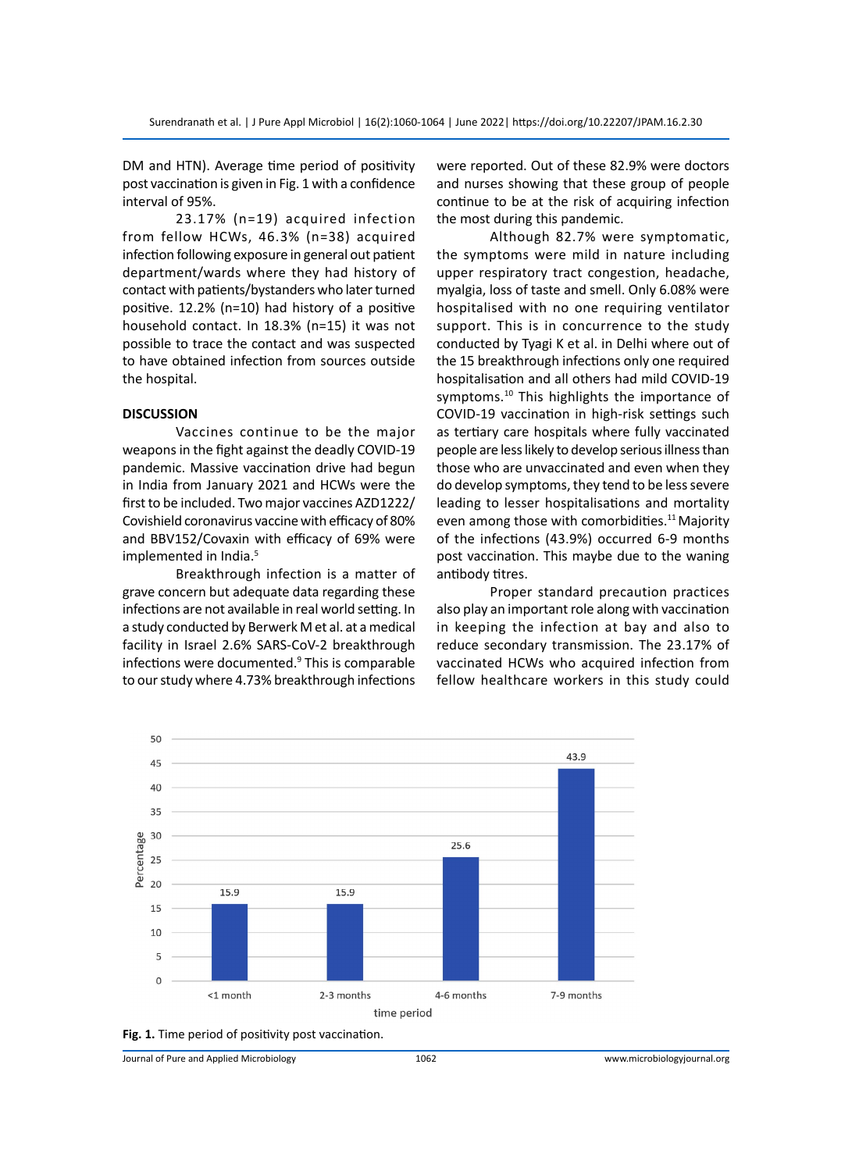DM and HTN). Average time period of positivity post vaccination is given in Fig. 1 with a confidence interval of 95%.

23.17% (n=19) acquired infection from fellow HCWs, 46.3% (n=38) acquired infection following exposure in general out patient department/wards where they had history of contact with patients/bystanders who later turned positive. 12.2% (n=10) had history of a positive household contact. In 18.3% (n=15) it was not possible to trace the contact and was suspected to have obtained infection from sources outside the hospital.

### **DISCUSSION**

Vaccines continue to be the major weapons in the fight against the deadly COVID-19 pandemic. Massive vaccination drive had begun in India from January 2021 and HCWs were the first to be included. Two major vaccines AZD1222/ Covishield coronavirus vaccine with efficacy of 80% and BBV152/Covaxin with efficacy of 69% were implemented in India.<sup>5</sup>

Breakthrough infection is a matter of grave concern but adequate data regarding these infections are not available in real world setting. In a study conducted by Berwerk M et al. at a medical facility in Israel 2.6% SARS-CoV-2 breakthrough infections were documented.<sup>9</sup> This is comparable to our study where 4.73% breakthrough infections

were reported. Out of these 82.9% were doctors and nurses showing that these group of people continue to be at the risk of acquiring infection the most during this pandemic.

Although 82.7% were symptomatic, the symptoms were mild in nature including upper respiratory tract congestion, headache, myalgia, loss of taste and smell. Only 6.08% were hospitalised with no one requiring ventilator support. This is in concurrence to the study conducted by Tyagi K et al. in Delhi where out of the 15 breakthrough infections only one required hospitalisation and all others had mild COVID-19 symptoms.<sup>10</sup> This highlights the importance of COVID-19 vaccination in high-risk settings such as tertiary care hospitals where fully vaccinated people are less likely to develop serious illness than those who are unvaccinated and even when they do develop symptoms, they tend to be less severe leading to lesser hospitalisations and mortality even among those with comorbidities.<sup>11</sup> Majority of the infections (43.9%) occurred 6-9 months post vaccination. This maybe due to the waning antibody titres.

Proper standard precaution practices also play an important role along with vaccination in keeping the infection at bay and also to reduce secondary transmission. The 23.17% of vaccinated HCWs who acquired infection from fellow healthcare workers in this study could



**Fig. 1.** Time period of positivity post vaccination.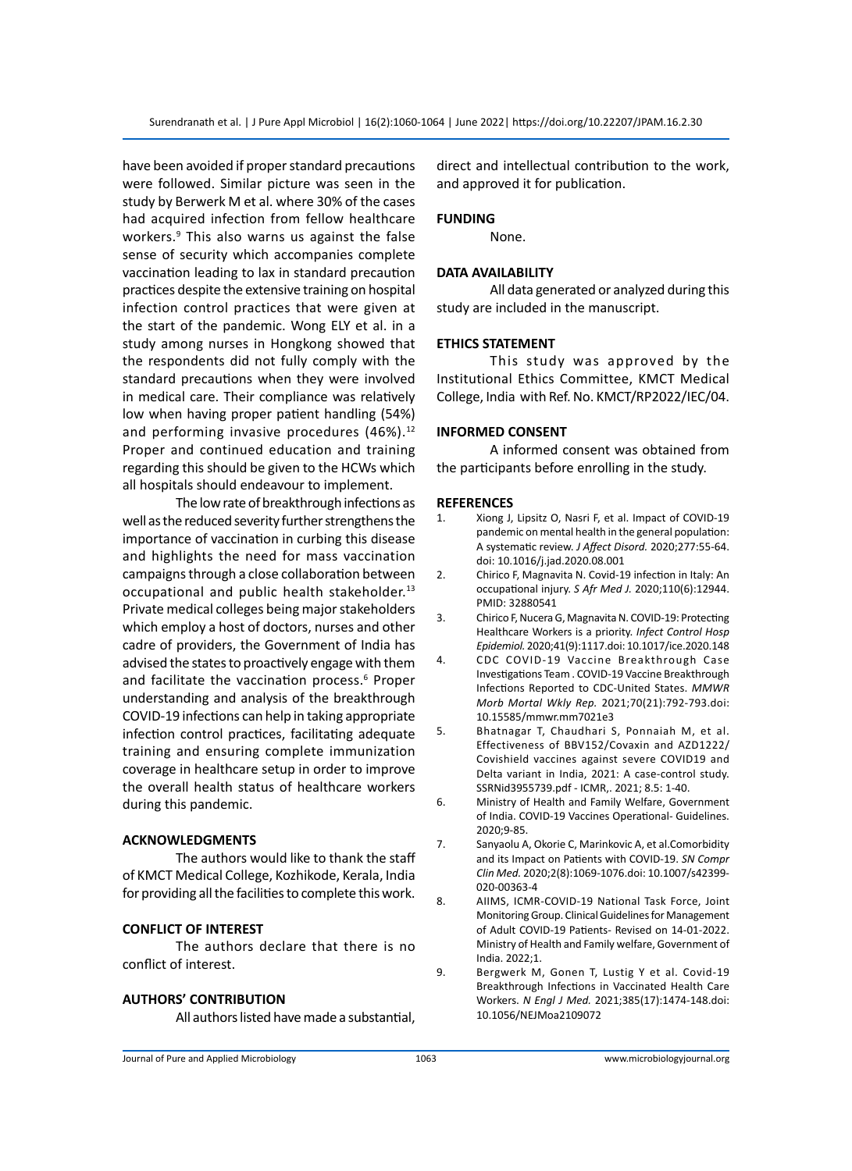have been avoided if proper standard precautions were followed. Similar picture was seen in the study by Berwerk M et al. where 30% of the cases had acquired infection from fellow healthcare workers.<sup>9</sup> This also warns us against the false sense of security which accompanies complete vaccination leading to lax in standard precaution practices despite the extensive training on hospital infection control practices that were given at the start of the pandemic. Wong ELY et al. in a study among nurses in Hongkong showed that the respondents did not fully comply with the standard precautions when they were involved in medical care. Their compliance was relatively low when having proper patient handling (54%) and performing invasive procedures  $(46\%)$ .<sup>12</sup> Proper and continued education and training regarding this should be given to the HCWs which all hospitals should endeavour to implement.

The low rate of breakthrough infections as well as the reduced severity further strengthens the importance of vaccination in curbing this disease and highlights the need for mass vaccination campaigns through a close collaboration between occupational and public health stakeholder.<sup>13</sup> Private medical colleges being major stakeholders which employ a host of doctors, nurses and other cadre of providers, the Government of India has advised the states to proactively engage with them and facilitate the vaccination process.<sup>6</sup> Proper understanding and analysis of the breakthrough COVID-19 infections can help in taking appropriate infection control practices, facilitating adequate training and ensuring complete immunization coverage in healthcare setup in order to improve the overall health status of healthcare workers during this pandemic.

### **ACKNOWLEDGMENTS**

The authors would like to thank the staff of KMCT Medical College, Kozhikode, Kerala, India for providing all the facilities to complete this work.

#### **CONFLICT OF INTEREST**

The authors declare that there is no conflict of interest.

# **AUTHORS' CONTRIBUTION**

All authors listed have made a substantial,

direct and intellectual contribution to the work, and approved it for publication.

### **FUNDING**

None.

### **DATA AVAILABILITY**

All data generated or analyzed during this study are included in the manuscript.

#### **ETHICS STATEMENT**

This study was approved by the Institutional Ethics Committee, KMCT Medical College, India with Ref. No. KMCT/RP2022/IEC/04.

#### **INFORMED CONSENT**

A informed consent was obtained from the participants before enrolling in the study.

#### **REFERENCES**

- 1. Xiong J, Lipsitz O, Nasri F, et al. Impact of COVID-19 pandemic on mental health in the general population: A systematic review. *J Affect Disord.* 2020;277:55-64. doi: 10.1016/j.jad.2020.08.001
- 2. Chirico F, Magnavita N. Covid-19 infection in Italy: An occupational injury. *S Afr Med J.* 2020;110(6):12944. PMID: 32880541
- 3. Chirico F, Nucera G, Magnavita N. COVID-19: Protecting Healthcare Workers is a priority. *Infect Control Hosp Epidemiol.* 2020;41(9):1117.doi: 10.1017/ice.2020.148
- 4. CDC COVID‐19 Vaccine Breakthrough Case Investigations Team . COVID‐19 Vaccine Breakthrough Infections Reported to CDC-United States. *MMWR Morb Mortal Wkly Rep.* 2021;70(21):792‐793.doi: 10.15585/mmwr.mm7021e3
- 5. Bhatnagar T, Chaudhari S, Ponnaiah M, et al. Effectiveness of BBV152/Covaxin and AZD1222/ Covishield vaccines against severe COVID19 and Delta variant in India, 2021: A case-control study. SSRNid3955739.pdf - ICMR,. 2021; 8.5: 1-40.
- 6. Ministry of Health and Family Welfare, Government of India. COVID-19 Vaccines Operational- Guidelines. 2020;9-85.
- 7. Sanyaolu A, Okorie C, Marinkovic A, et al.Comorbidity and its Impact on Patients with COVID-19. *SN Compr Clin Med.* 2020;2(8):1069-1076.doi: 10.1007/s42399- 020-00363-4
- 8. AIIMS, ICMR-COVID-19 National Task Force, Joint Monitoring Group. Clinical Guidelines for Management of Adult COVID-19 Patients- Revised on 14-01-2022. Ministry of Health and Family welfare, Government of India. 2022;1.
- 9. Bergwerk M, Gonen T, Lustig Y et al. Covid-19 Breakthrough Infections in Vaccinated Health Care Workers. *N Engl J Med.* 2021;385(17):1474-148.doi: 10.1056/NEJMoa2109072